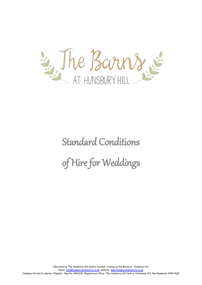

# Standard Conditions of Hire for Weddings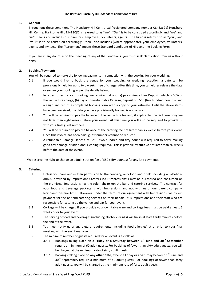# **1. General**

Throughout these conditions The Hunsbury Hill Centre Ltd (registered company number 08462691) Hunsbury Hill Centre, Harksome Hill, NN4 9QX, is referred to as "we". "Our" is to be construed accordingly and "we" and "us" means and includes our directors, employees, volunteers, agents. The hirer is referred to as "you"; and "your" is to be construed accordingly. "You" also includes (where appropriate), your employees, volunteers, agents and invitees. The "Agreement" means these Standard Conditions of Hire and the Booking Form.

If you are in any doubt as to the meaning of any of the Conditions, you must seek clarification from us without delay.

# **2. Booking/Payments**

You will be required to make the following payments in connection with the booking for your wedding:

- 2.1 If you would like to book the venue for your wedding or wedding reception, a date can be provisionally held for up to two weeks, free of charge. After this time, you can either release the date or secure your booking as per the details below;
- 2.2 In order to secure your booking, we require that you (a) pay a Venue Hire Deposit, which is 50% of the venue hire charge; (b) pay a non-refundable Catering Deposit of £500 (five hundred pounds); and (c) sign and return a completed booking form with a copy of your estimate. Until the above items have been received, the date you have provisionally booked is not secured.
- 2.3 You will be required to pay the balance of the venue hire fee and, if applicable, the civil ceremony fee not later than eight weeks before your event. At this time you will also be required to provide us with your final guest numbers.
- 2.4 You will be required to pay the balance of the catering fee not later than six weeks before your event. Once this invoice has been paid, guest numbers cannot be reduced.
- 2.5 A refundable Damage Deposit of £250 (two hundred and fifty pounds) is required to cover making good any damage or additional cleaning required. This is payable by **cheque** not later than six weeks before the date of the event.

We reserve the right to charge an administration fee of £50 (fifty pounds) for any late payments.

## **3. Catering**

- 3.1 Unless you have our written permission to the contrary, only food and drink, including all alcoholic drinks, provided by Impressions Caterers Ltd ("Impressions") may be purchased and consumed on the premises. Impressions has the sole right to run the bar and catering services. The contract for your food and beverage package is with Impressions and not with us or our parent company, Northamptonshire ACRE. However, under the terms of our agreement with Impressions, we collect payment for the bar and catering services on their behalf. It is Impressions and their staff who are responsible for setting up the venue and bar for your event.
- 3.2 Corkage will be charged if you provide your own table wine and corkage fees must be paid at least 6 weeks prior to your event.
- 3.3 The serving of food and beverages (including alcoholic drinks) will finish at least thirty minutes before the end of the event.
- 3.4 You must notify us of any dietary requirements (including food allergies) at or prior to your final meeting with the event manager.
- 3.5 The minimum number of guests required for an event is as follows:
	- 3.5.1 Bookings taking place on a **Friday or a Saturday between 1st June and 30th September** require a minimum of 60 adult guests. For bookings of fewer than sixty adult guests, you will be charged at the minimum rate of sixty adult guests.
	- 3.5.2 Bookings taking place on **any other date**, except a Friday or a Saturday between 1<sup>st</sup> June and 30th September**,** require a minimum of 40 adult guests. For bookings of fewer than forty adult guests, you will be charged at the minimum rate of forty adult guests.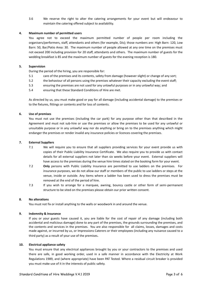3.6 We reserve the right to alter the catering arrangements for your event but will endeavour to maintain the catering offered subject to availability.

## **4. Maximum number of permitted users**

You agree not to exceed the maximum permitted number of people per room including the organisers/performers, staff, attendants and others (for example, DJs); those numbers are: High Barn: 120, Low Barn: 50, Bar/Patio Area: 30. The maximum number of people allowed at any one time on the premises must not exceed 200 including provision for 20 staff, attendants and others. The maximum number of guests for the wedding breakfast is 85 and the maximum number of guests for the evening reception is 180.

# **5. Supervision**

During the period of the hiring, you are responsible for:

- 5.1 care of the premises and its contents, safety from damage (however slight) or change of any sort;
- 5.2 the behaviour of all persons using the premises whatever their capacity excluding the event staff;
- 5.3 ensuring the premises are not used for any unlawful purposes or in any unlawful way; and
- 5.4 ensuring that these Standard Conditions of Hire are met.

As directed by us, you must make good or pay for all damage (including accidental damage) to the premises or to the fixtures, fittings or contents and for loss of contents.

# **6. Use of premises**

You must not use the premises (including the car park) for any purpose other than that described in the Agreement and must not sub-hire or use the premises or allow the premises to be used for any unlawful or unsuitable purpose or in any unlawful way nor do anything or bring on to the premises anything which might endanger the premises or render invalid any insurance policies or licences covering the premises.

## **7. External Suppliers**

- 7.1 We will require you to ensure that all suppliers providing services for your event provide us with copies of their Public Liability Insurance Certificate. We also require you to provide us with contact details for all external suppliers not later than six weeks before your event. External suppliers will have access to the premises during the venue hire times stated on the booking form for your event.
- 7.2 **Only** persons with Public Liability Insurance are permitted to use ladders on the premises. For insurance purposes, we do not allow our staff or members of the public to use ladders or steps at the venue, inside or outside. Any items where a ladder has been used to dress the premises must be removed at the end of the period of hire.
- 7.3 If you wish to arrange for a marquee, awning, bouncy castle or other form of semi-permanent structure to be sited on the premises please obtain our prior written consent.

## **8. No alterations**

You must not fix or install anything to the walls or woodwork in and around the venue.

# **9. Indemnity & Insurance**

If you or your guests have caused it, you are liable for the cost of repair of any damage (including both accidental and malicious damage) done to any part of the premises, the grounds surrounding the premises, and the contents and services in the premises. You are also responsible for all claims, losses, damages and costs made against, or incurred by us, or Impressions Caterers or their employees (including any nuisance caused to a third party) as a result of your use of the premises*.* 

#### **10. Electrical appliance safety**

You must ensure that any electrical appliances brought by you or your contractors to the premises and used there are safe, in good working order, used in a safe manner in accordance with the Electricity at Work Regulations 1989, and (where appropriate) have been PAT Tested. Where a residual circuit breaker is provided you must make use of it in the interests of public safety.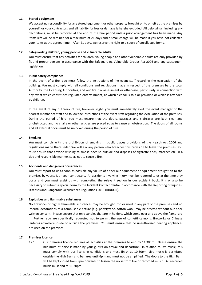## **11. Stored equipment**

We accept no responsibility for any stored equipment or other property brought on to or left at the premises by yourself, or your contractors and all liability for loss or damage is hereby excluded. All belongings, including any decorations, must be removed at the end of the hire period unless prior arrangement has been made. Any items left will be retained for a maximum of 21 days and a small charge will be made if you have not collected your items at the agreed time. After 21 days, we reserve the right to dispose of uncollected items.

# **12. Safeguarding children, young people and vulnerable adults**

You must ensure that any activities for children, young people and other vulnerable adults are only provided by fit and proper persons in accordance with the Safeguarding Vulnerable Groups Act 2006 and any subsequent legislation.

# **13. Public safety compliance**

In the event of a fire, you must follow the instructions of the event staff regarding the evacuation of the building. You must comply with all conditions and regulations made in respect of the premises by the Local Authority, the Licensing Authorities, and our fire risk assessment or otherwise, particularly in connection with any event which constitutes regulated entertainment, at which alcohol is sold or provided or which is attended by children.

In the event of any outbreak of fire, however slight, you must immediately alert the event manager or the nearest member of staff and follow the instructions of the event staff regarding the evacuation of the premises. During the period of hire, you must ensure that the doors, passages and staircases are kept clear and unobstructed and no chairs or other articles are placed so as to cause an obstruction. The doors of all rooms and all external doors must be unlocked during the period of hire.

## **14. Smoking**

You must comply with the prohibition of smoking in public places provisions of the Health Act 2006 and regulations made thereunder. We will ask any person who breaches this provision to leave the premises. You must ensure that anyone wishing to smoke does so outside and disposes of cigarette ends, matches etc. in a tidy and responsible manner, so as not to cause a fire.

## **15. Accidents and dangerous occurrences**

You must report to us as soon as possible any failure of either our equipment or equipment brought on to the premises by yourself, or your contractors. All accidents involving injury must be reported to us at the time they occur and you must assist us with completing the relevant section in our accident book. It may also be necessary to submit a special form to the Incident Contact Centre in accordance with the Reporting of Injuries, Diseases and Dangerous Occurrences Regulations 2013 (RIDDOR).

## **16. Explosives and flammable substances**

No fireworks or highly flammable substances may be brought into or used in any part of the premises and no internal decorations of a combustible nature (e.g. polystyrene, cotton wool) may be erected without our prior written consent. Please ensure that only candles that are in holders, which come over and above the flame, are lit. Further, you are specifically requested not to permit the use of confetti cannons, fireworks or Chinese lanterns anywhere inside or outside the premises. You must ensure that no unauthorised heating appliances are used on the premises.

## **17. Premises Licence**

17.1 Our premises licence requires all activities at the premises to end by 11.30pm. Please ensure the minimum of noise is made by your guests on arrival and departure. In relation to live music, this must comply with our licensing conditions and must finish at 10.30pm. Live music is permitted outside the High Barn and bar area until 6pm and must not be amplified. The doors to the High Barn will be kept closed from 9pm onwards to lessen the noise from live or recorded music. All recorded music must end at 11.30pm.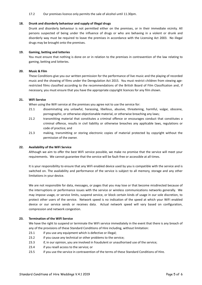#### 17.2 Our premises licence only permits the sale of alcohol until 11.30pm.

#### **18. Drunk and disorderly behaviour and supply of illegal drugs**

Drunk and disorderly behaviour is not permitted either on the premises, or in their immediate vicinity. All persons suspected of being under the influence of drugs or who are behaving in a violent or drunk and disorderly way must be required to leave the premises in accordance with the Licensing Act 2003. No illegal drugs may be brought onto the premises.

## **19. Gaming, betting and lotteries**

You must ensure that nothing is done on or in relation to the premises in contravention of the law relating to gaming, betting and lotteries.

#### **20. Music & Film**

These Conditions give you our written permission for the performance of live music and the playing of recorded music and the showing of films under the Deregulation Act 2015. You must restrict children from viewing agerestricted films classified according to the recommendations of the British Board of Film Classification and, if necessary, you must ensure that you have the appropriate copyright licences for any film shown.

#### **21. WiFi Service**

When using the WiFi service at the premises you agree not to use the service for:

- 21.1 disseminating any unlawful, harassing, libellous, abusive, threatening, harmful, vulgar, obscene, pornographic, or otherwise objectionable material, or otherwise breaching any laws;
- 21.2 transmitting material that constitutes a criminal offence or encourages conduct that constitutes a criminal offence, results in civil liability or otherwise breaches any applicable laws, regulations or code of practice; and
- 21.3 making, transmitting or storing electronic copies of material protected by copyright without the permission of the owner.

## **22. Availability of the WiFi Service**

Although we aim to offer the best WiFi service possible, we make no promise that the service will meet your requirements. We cannot guarantee that the service will be fault-free or accessible at all times.

It is your responsibility to ensure that any WiFi enabled device used by you is compatible with the service and is switched on. The availability and performance of the service is subject to all memory, storage and any other limitations in your device.

We are not responsible for data, messages, or pages that you may lose or that become misdirected because of the interruptions or performance issues with the service or wireless communications networks generally. We may impose usage, or service limits, suspend service, or block certain kinds of usage in our sole discretion, to protect other users of the service. Network speed is no indication of the speed at which your WiFi enabled device or our service sends or receives data. Actual network speed will vary based on configuration, compression and network congestion.

## **23. Termination of the WiFi Service**

We have the right to suspend or terminate the WiFi service immediately in the event that there is any breach of any of the provisions of these Standard Conditions of Hire including, without limitation:

- 23.1 if you use any equipment which is defective or illegal;
- 23.2 if you cause any technical or other problems to the service;
- 23.3 if, in our opinion, you are involved in fraudulent or unauthorised use of the service;
- 23.4 if you resell access to the service; or
- 23.5 if you use the service in contravention of the terms of these Standard Conditions of Hire.